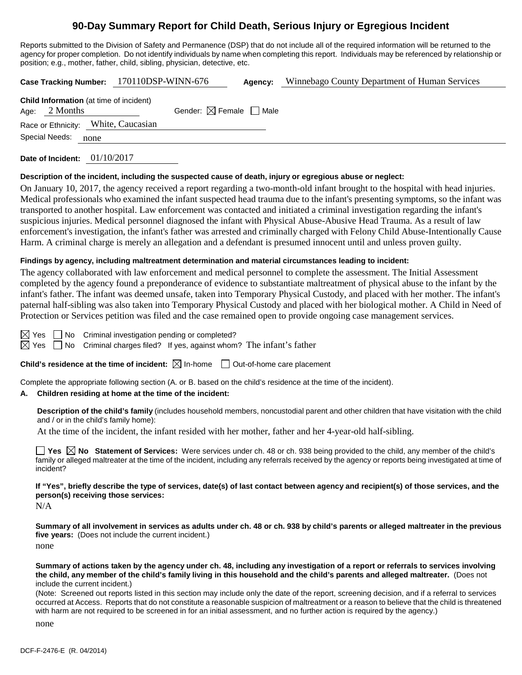# **90-Day Summary Report for Child Death, Serious Injury or Egregious Incident**

Reports submitted to the Division of Safety and Permanence (DSP) that do not include all of the required information will be returned to the agency for proper completion. Do not identify individuals by name when completing this report. Individuals may be referenced by relationship or position; e.g., mother, father, child, sibling, physician, detective, etc.

|                                                                   | Case Tracking Number: 170110DSP-WINN-676 | Agency: | Winnebago County Department of Human Services |
|-------------------------------------------------------------------|------------------------------------------|---------|-----------------------------------------------|
| <b>Child Information</b> (at time of incident)<br>Age: $2$ Months | Gender: $\boxtimes$ Female $\Box$ Male   |         |                                               |
| Race or Ethnicity: White, Caucasian                               |                                          |         |                                               |
| Special Needs:<br>none                                            |                                          |         |                                               |
|                                                                   |                                          |         |                                               |

**Date of Incident:** 01/10/2017

### **Description of the incident, including the suspected cause of death, injury or egregious abuse or neglect:**

On January 10, 2017, the agency received a report regarding a two-month-old infant brought to the hospital with head injuries. Medical professionals who examined the infant suspected head trauma due to the infant's presenting symptoms, so the infant was transported to another hospital. Law enforcement was contacted and initiated a criminal investigation regarding the infant's suspicious injuries. Medical personnel diagnosed the infant with Physical Abuse-Abusive Head Trauma. As a result of law enforcement's investigation, the infant's father was arrested and criminally charged with Felony Child Abuse-Intentionally Cause Harm. A criminal charge is merely an allegation and a defendant is presumed innocent until and unless proven guilty.

### **Findings by agency, including maltreatment determination and material circumstances leading to incident:**

The agency collaborated with law enforcement and medical personnel to complete the assessment. The Initial Assessment completed by the agency found a preponderance of evidence to substantiate maltreatment of physical abuse to the infant by the infant's father. The infant was deemed unsafe, taken into Temporary Physical Custody, and placed with her mother. The infant's paternal half-sibling was also taken into Temporary Physical Custody and placed with her biological mother. A Child in Need of Protection or Services petition was filed and the case remained open to provide ongoing case management services.

 $\boxtimes$  Yes  $\Box$  No Criminal investigation pending or completed?

 $\boxtimes$  Yes  $\Box$  No Criminal charges filed? If yes, against whom? The infant's father

### **Child's residence at the time of incident:**  $\boxtimes$  In-home  $\Box$  Out-of-home care placement

Complete the appropriate following section (A. or B. based on the child's residence at the time of the incident).

### **A. Children residing at home at the time of the incident:**

**Description of the child's family** (includes household members, noncustodial parent and other children that have visitation with the child and / or in the child's family home):

At the time of the incident, the infant resided with her mother, father and her 4-year-old half-sibling.

■ Yes △ No Statement of Services: Were services under ch. 48 or ch. 938 being provided to the child, any member of the child's family or alleged maltreater at the time of the incident, including any referrals received by the agency or reports being investigated at time of incident?

**If "Yes", briefly describe the type of services, date(s) of last contact between agency and recipient(s) of those services, and the person(s) receiving those services:**

N/A

**Summary of all involvement in services as adults under ch. 48 or ch. 938 by child's parents or alleged maltreater in the previous five years:** (Does not include the current incident.) none

**Summary of actions taken by the agency under ch. 48, including any investigation of a report or referrals to services involving the child, any member of the child's family living in this household and the child's parents and alleged maltreater.** (Does not include the current incident.)

(Note: Screened out reports listed in this section may include only the date of the report, screening decision, and if a referral to services occurred at Access. Reports that do not constitute a reasonable suspicion of maltreatment or a reason to believe that the child is threatened with harm are not required to be screened in for an initial assessment, and no further action is required by the agency.)

none